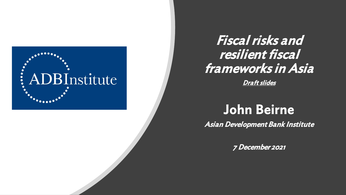

## Fiscal risks and resilient fiscal frameworks in Asia

Draft slides

# John Beirne

Asian Development Bank Institute

7 December 2021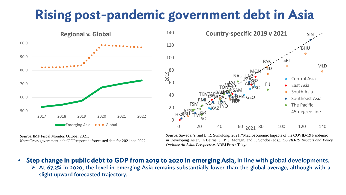# Rising post-pandemic government debt in Asia

2019



ARM AZE GEO KAZ TAJ - ARM TKM UZ<sub>B</sub> PRC HKG KOR MON **TAR** AFG BAN BHU IND O MLD NEP PAK **BRU** 'CAM **INO LAO** MYA **RARI** SIN **THA** TIM WAN ARM FIJ KIR RMI FSM NAU PAL PRE SAM SOL TON **TUW** VAN 0 20 40 60 80 100 120 140 0 20 40 60 <sub>2021</sub> 80 100 120 140 **Country-specific 2019 v 2021** Central Asia East Asia South Asia Southeast Asia The Pacific 45-degree line

*Source*: IMF Fiscal Monitor, October 2021. *Note*: Gross government debt/GDP reported; forecasted data for 2021 and 2022. *Source*: Sawada, Y. and L. R. Sumulong, 2021, "Macroeconomic Impacts of the COVID-19 Pandemic in Developing Asia", in Beirne, J., P. J. Morgan, and T. Sonobe (eds.). *COVID-19 Impacts and Policy Options:An Asian Perspective*.ADBI Press: Tokyo.

- Step change in public debt to GDP from 2019 to 2020 in emerging Asia, in line with global developments.
	- $\triangleright$  At 67.3% in 2020, the level in emerging Asia remains substantially lower than the global average, although with a slight upward forecasted trajectory.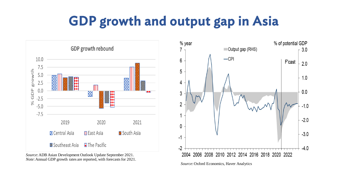# GDP growth and output gap in Asia



*Source*:ADB Asian Development Outlook Update September 2021. *Note:* Annual GDP growth rates are reported, with forecasts for 2021.

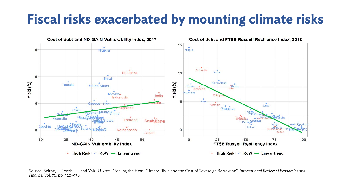# Fiscal risks exacerbated by mounting climate risks



Source: Beirne, J., Renzhi, N. and Volz, U. 2021. "Feeling the Heat: Climate Risks and the Cost of Sovereign Borrowing", *International Review of Economics and Finance*, Vol. 76, pp. 920-936.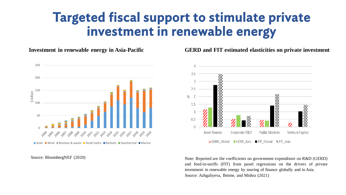### Targeted fiscal support to stimulate private investment in renewable energy

**Investment in renewable energy in Asia-Pacific**



Source: BloombergNEF (2020)

#### **GERD and FIT estimated elasticities on private investment**



Note: Reported are the coefficients on government expenditure on R&D (GERD) and feed-in-tariffs (FIT) from panel regressions on the drivers of private investment in renewable energy by souring of finance globally and in Asia. Source: Azhgaliyeva, Beirne, and Mishra (2021)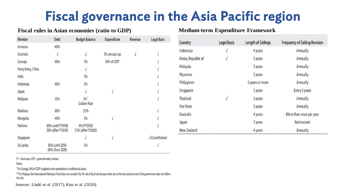# Fiscal governance in the Asia Pacific region

#### **Fiscal rules in Asian economies (ratio to GDP) Medium-term Expenditure Framework**

| <b>Member</b>    | <b>Debt</b>                              | <b>Budget Balance</b>              | <b>Expenditure</b> | Revenue   | <b>Legal Basis</b>             |
|------------------|------------------------------------------|------------------------------------|--------------------|-----------|--------------------------------|
| Armenia          | 60%                                      |                                    |                    |           |                                |
| Australia        | $\sqrt{}$                                | $\sqrt{ }$                         | 2% annual cap      | $\sqrt{}$ | $\sqrt{ }$                     |
| Georgia          | 60%                                      | 3%                                 | 30% of GDP*        |           |                                |
| Hong Kong, China |                                          | V                                  |                    |           |                                |
| India            |                                          | 3%                                 |                    |           |                                |
| Indonesia        | 60%                                      | 3%                                 |                    |           |                                |
| Japan            |                                          |                                    | $\sqrt{ }$         |           |                                |
| <b>Malaysia</b>  | 55%                                      | $3\%$ **<br>Golden Rule            |                    |           |                                |
| <b>Maldives</b>  | 60%                                      | 3.5%                               |                    |           |                                |
| Mongolia         | 40%                                      | 2%                                 | $\sqrt{ }$         |           |                                |
| Pakistan         | 60% (until FY2018)<br>50% (after FY2018) | 4% (FY2020)<br>3.5% (after FY2020) |                    |           |                                |
| Singapore        |                                          | V                                  | $\sqrt{ }$         |           | $\sqrt{\text{(Constitution)}}$ |
| Sri Lanka        | 85% (until 2019)<br>60% (from 2020)      | 5%                                 |                    |           |                                |

| <b>Country</b>     | <b>Legal Basis</b> | <b>Length of Ceilings</b> | <b>Frequency of Ceiling Revision</b> |
|--------------------|--------------------|---------------------------|--------------------------------------|
| Indonesia          | $\sqrt{2}$         | 4 years                   | Annually                             |
| Korea, Republic of | $\sqrt{}$          | 5 years                   | Annually                             |
| <b>Malaysia</b>    |                    | 3 years                   | Annually                             |
| <b>Myanmar</b>     |                    | 3 years                   | <b>Annually</b>                      |
| Philippines        |                    | 6 years or more           | Annually                             |
| Singapore          |                    | 5 years                   | Every 5 years                        |
| Thailand           | $\sqrt{}$          | 3 years                   | <b>Annually</b>                      |
| <b>Viet Nam</b>    |                    | 3 years                   | Annually                             |
| Australia          |                    | 4 years                   | More than once per year              |
| Japan              |                    | 3 years                   | Not revised                          |
| New Zealand        |                    | 4 years                   | Annually                             |

 $FY =$  fiscal year,  $GDP =$  gross domestic product.

Notes:

\* For Georgia, 30% of GDP is applied to the expenditure in nonfinancial assets.

\*\* For Malaysia, the International Monetary Fund does not consider this 3% rule a fiscal rule because there are no formal sanctions even if the government does not follow the rule.

Sources: Lledó et al. (2017), Kim et al. (2020).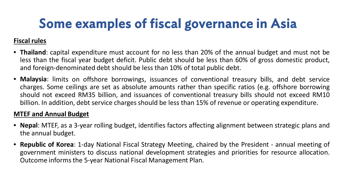# Some examples of fiscal governance in Asia

### **Fiscal rules**

- **Thailand**: capital expenditure must account for no less than 20% of the annual budget and must not be less than the fiscal year budget deficit. Public debt should be less than 60% of gross domestic product, and foreign-denominated debt should be less than 10% of total public debt.
- **Malaysia**: limits on offshore borrowings, issuances of conventional treasury bills, and debt service charges. Some ceilings are set as absolute amounts rather than specific ratios (e.g. offshore borrowing should not exceed RM35 billion, and issuances of conventional treasury bills should not exceed RM10 billion. In addition, debt service charges should be less than 15% of revenue or operating expenditure.

### **MTEF and Annual Budget**

- **Nepal**: MTEF, as a 3-year rolling budget, identifies factors affecting alignment between strategic plans and the annual budget.
- **Republic of Korea**: 1-day National Fiscal Strategy Meeting, chaired by the President annual meeting of government ministers to discuss national development strategies and priorities for resource allocation. Outcome informsthe 5-year National Fiscal Management Plan.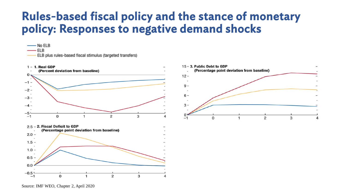### Rules-based fiscal policy and the stance of monetary policy: Responses to negative demand shocks





- No ELB